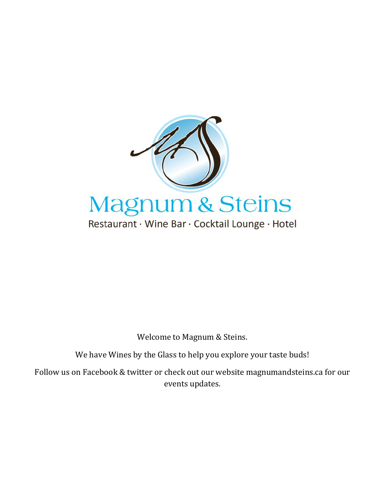

Welcome to Magnum & Steins.

We have Wines by the Glass to help you explore your taste buds!

Follow us on Facebook & twitter or check out our website magnumandsteins.ca for our events updates.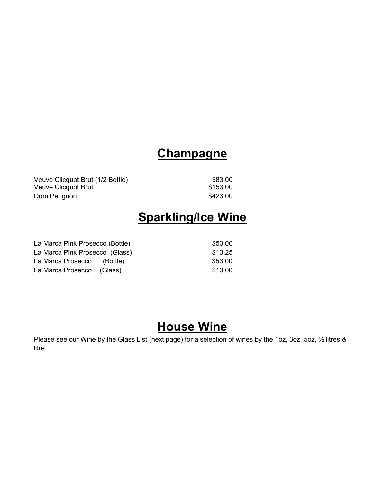### **Champagne**

Veuve Clicquot Brut (1/2 Bottle) \$83.00 Veuve Clicquot Brut **\$153.00** Dom Pérignon **biasa di participat de la contrata de la contrata de la contrata de la contrata de la contrata de l** 

# **Sparkling/Ice Wine**

La Marca Pink Prosecco (Bottle)  $$53.00$ La Marca Pink Prosecco (Glass)  $$13.25$ La Marca Prosecco (Bottle) 653.00 La Marca Prosecco (Glass) 613.00

# **House Wine**

Please see our Wine by the Glass List (next page) for a selection of wines by the 1oz, 3oz, 5oz, 1/2 litres & litre.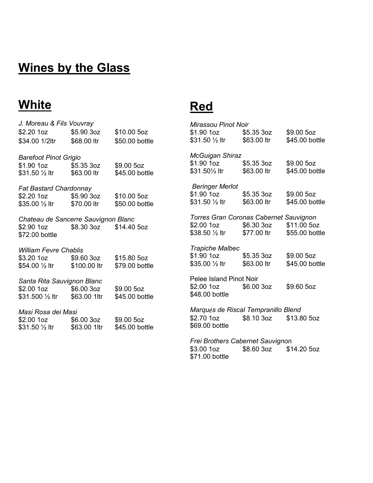# **Wines by the Glass**

# **White**

#### J. Moreau & Fils Vouvray **Mirassou Pinot Noir**  $$2.20$  1oz \$1.90 1oz  $$5.90.3oz$ \$10.00 5oz \$5.35 3oz \$9.00 5oz \$31.50 1/2 ltr \$63.00 ltr \$45.00 bottle \$34.00 1/2ltr \$68.00 ltr \$50.00 bottle **McGuigan Shiraz Barefoot Pinot Grigio** \$1.90 1oz \$9.00 5oz \$5.35 3oz \$1.90 1oz \$5.35 3oz \$9.00 5oz \$31.501/2 ltr \$63.00 ltr \$45.00 bottle \$31.50 1/2 ltr \$63.00 ltr \$45.00 bottle **Beringer Merlot Fat Bastard Chardonnay** \$1.90 1oz \$5.35 3oz \$9.00 5oz \$2.20 1oz \$10.00 5oz \$5.90 3oz \$31.50 1/2 ltr \$63.00 ltr \$45.00 bottle \$35.00 1/2 ltr \$70.00 ltr \$50.00 bottle **Torres Gran Coronas Cabernet Sauvignon** Chateau de Sancerre Sauvignon Blanc \$2.00 1oz \$6.30 3oz \$11.00 5oz  $$2.90$  1oz \$8.30 3oz \$14.40 5oz \$38.50 1/2 ltr \$77.00 ltr \$55.00 bottle \$72.00 bottle **Trapiche Malbec William Fevre Chablis** \$1.90 1oz \$5.35 3oz \$9.00 5oz \$3.20 1oz \$9.60 3oz \$15.80 5oz \$35.00 1/2 ltr \$45.00 bottle \$63.00 ltr \$54.00 1/2 ltr \$100.00 ltr \$79.00 bottle Pelee Island Pinot Noir Santa Rita Sauvignon Blanc  $$2.00$  1oz  $$6.00.3oz$ \$9.60 5oz \$9.00 5oz \$2.00 1oz \$6.00 3oz \$48,00 bottle \$45.00 bottle \$31.500 1/2 ltr \$63.00 1ltr Marqués de Riscal Tempranillo Blend Masi Rosa dei Masi \$2.70 1oz \$8.10 3oz \$13.80 5oz \$2.00 1oz \$6.00 3oz \$9.00 5oz \$69.00 bottle \$31.50 1/2 ltr \$63.00 1ltr \$45.00 bottle Frei Brothers Cabernet Sauvignon

**Red** 

\$3.00 1oz \$8.60 3oz \$14.20 5oz \$71.00 bottle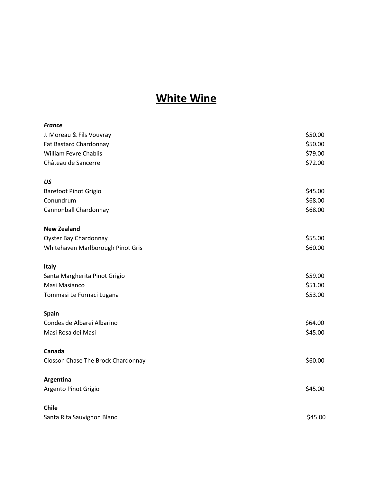#### **White Wine**

| <b>France</b>                      |         |
|------------------------------------|---------|
| J. Moreau & Fils Vouvray           | \$50.00 |
| Fat Bastard Chardonnay             | \$50.00 |
| <b>William Fevre Chablis</b>       | \$79.00 |
| Château de Sancerre                | \$72.00 |
| US                                 |         |
| <b>Barefoot Pinot Grigio</b>       | \$45.00 |
| Conundrum                          | \$68.00 |
| Cannonball Chardonnay              | \$68.00 |
| <b>New Zealand</b>                 |         |
| <b>Oyster Bay Chardonnay</b>       | \$55.00 |
| Whitehaven Marlborough Pinot Gris  | \$60.00 |
| <b>Italy</b>                       |         |
| Santa Margherita Pinot Grigio      | \$59.00 |
| Masi Masianco                      | \$51.00 |
| Tommasi Le Furnaci Lugana          | \$53.00 |
| Spain                              |         |
| Condes de Albarei Albarino         | \$64.00 |
| Masi Rosa dei Masi                 | \$45.00 |
| Canada                             |         |
| Closson Chase The Brock Chardonnay | \$60.00 |
| Argentina                          |         |
| Argento Pinot Grigio               | \$45.00 |
| <b>Chile</b>                       |         |
| Santa Rita Sauvignon Blanc         | \$45.00 |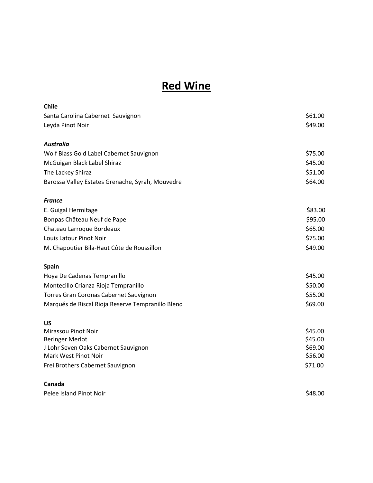### **Red Wine**

| Chile                                             |         |
|---------------------------------------------------|---------|
| Santa Carolina Cabernet Sauvignon                 | \$61.00 |
| Leyda Pinot Noir                                  | \$49.00 |
|                                                   |         |
| <b>Australia</b>                                  |         |
| Wolf Blass Gold Label Cabernet Sauvignon          | \$75.00 |
| McGuigan Black Label Shiraz                       | \$45.00 |
| The Lackey Shiraz                                 | \$51.00 |
| Barossa Valley Estates Grenache, Syrah, Mouvedre  | \$64.00 |
| <b>France</b>                                     |         |
| E. Guigal Hermitage                               | \$83.00 |
| Bonpas Château Neuf de Pape                       | \$95.00 |
| Chateau Larroque Bordeaux                         | \$65.00 |
| Louis Latour Pinot Noir                           | \$75.00 |
| M. Chapoutier Bila-Haut Côte de Roussillon        | \$49.00 |
| <b>Spain</b>                                      |         |
| Hoya De Cadenas Tempranillo                       | \$45.00 |
| Montecillo Crianza Rioja Tempranillo              | \$50.00 |
| Torres Gran Coronas Cabernet Sauvignon            | \$55.00 |
| Marqués de Riscal Rioja Reserve Tempranillo Blend | \$69.00 |
| <b>US</b>                                         |         |
| Mirassou Pinot Noir                               | \$45.00 |
| <b>Beringer Merlot</b>                            | \$45.00 |
| J Lohr Seven Oaks Cabernet Sauvignon              | \$69.00 |
| Mark West Pinot Noir                              | \$56.00 |
| Frei Brothers Cabernet Sauvignon                  | \$71.00 |
| Canada                                            |         |
| Pelee Island Pinot Noir                           | \$48.00 |